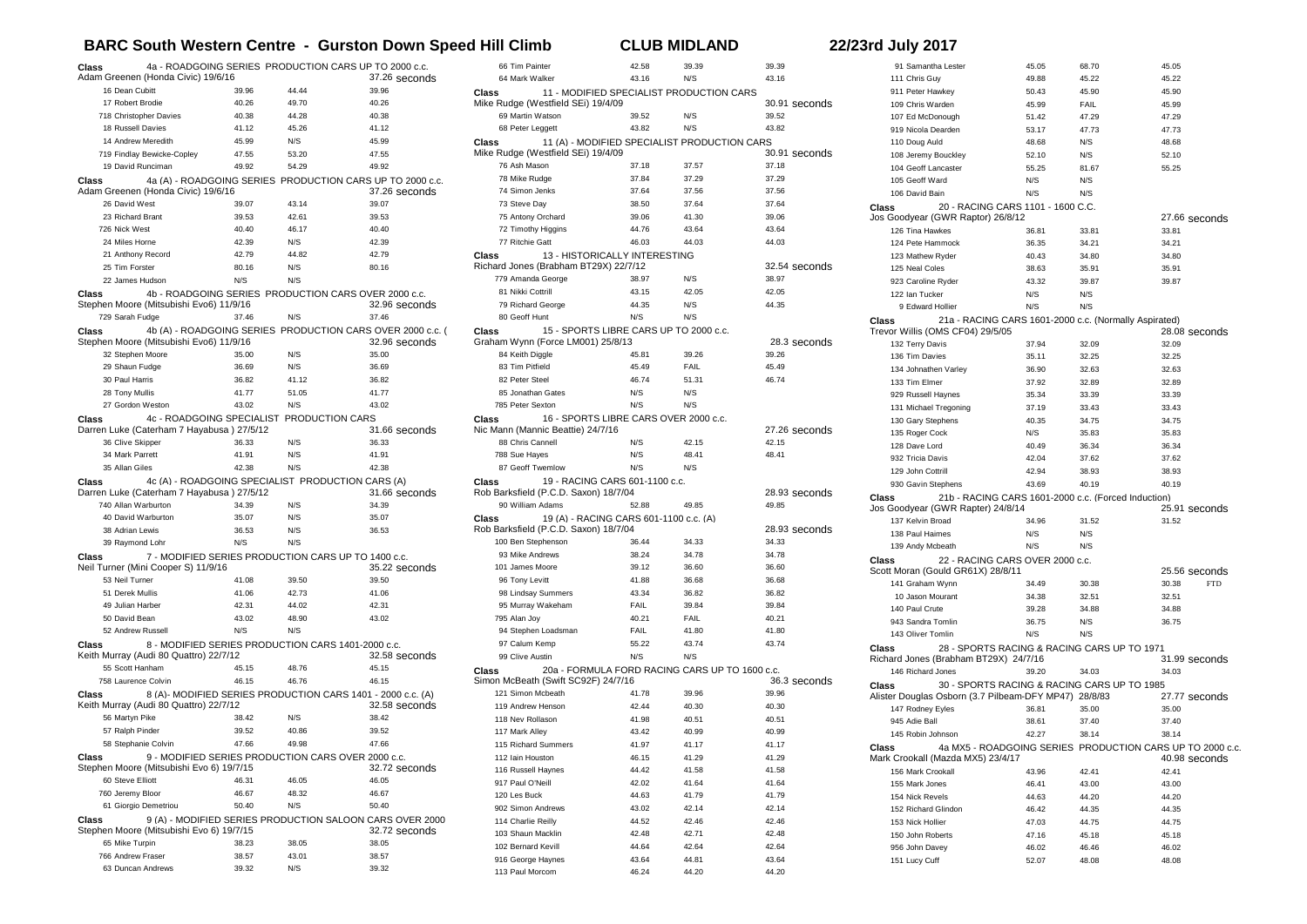## **BARC South Western Centre - Gurston Down Speed Hill Climb CLUB MIDLAND 22/23rd July 2017**

| Class                               | 4a - ROADGOING SERIES PRODUCTION CARS UP TO 2000 c.c.                                                 |                |                                                          |                        |
|-------------------------------------|-------------------------------------------------------------------------------------------------------|----------------|----------------------------------------------------------|------------------------|
|                                     | Adam Greenen (Honda Civic) 19/6/16                                                                    |                |                                                          | 37.26 seconds          |
| 16 Dean Cubitt                      |                                                                                                       | 39.96          | 44.44                                                    | 39.96                  |
| 17 Robert Brodie                    |                                                                                                       | 40.26          | 49.70                                                    | 40.26                  |
|                                     | 718 Christopher Davies                                                                                | 40.38          | 44.28                                                    | 40.38                  |
| 18 Russell Davies                   |                                                                                                       | 41.12          | 45.26                                                    | 41.12                  |
| 14 Andrew Meredith                  |                                                                                                       | 45.99          | N/S                                                      | 45.99                  |
| 19 David Runciman                   | 719 Findlay Bewicke-Copley                                                                            | 47.55          | 53.20                                                    | 47.55                  |
|                                     |                                                                                                       | 49.92          | 54.29                                                    | 49.92                  |
| Class                               | 4a (A) - ROADGOING SERIES PRODUCTION CARS UP TO 2000 c.c.<br>Adam Greenen (Honda Civic) 19/6/16       |                |                                                          | 37.26 seconds          |
| 26 David West                       |                                                                                                       | 39.07          | 43.14                                                    | 39.07                  |
| 23 Richard Brant                    |                                                                                                       | 39.53          | 42.61                                                    | 39.53                  |
| 726 Nick West                       |                                                                                                       | 40.40          | 46.17                                                    | 40.40                  |
| 24 Miles Horne                      |                                                                                                       | 42.39          | N/S                                                      | 42.39                  |
| 21 Anthony Record<br>25 Tim Forster |                                                                                                       | 42.79          | 44.82<br>N/S                                             | 42.79                  |
|                                     |                                                                                                       | 80.16          | N/S                                                      | 80.16                  |
| 22 James Hudson                     |                                                                                                       | N/S            |                                                          |                        |
| Class                               | 4b - ROADGOING SERIES PRODUCTION CARS OVER 2000 c.c.<br>Stephen Moore (Mitsubishi Evo6) 11/9/16       |                |                                                          | 32.96 seconds          |
| 729 Sarah Fudge                     |                                                                                                       | 37.46          | N/S                                                      | 37.46                  |
| Class                               | 4b (A) - ROADGOING SERIES PRODUCTION CARS OVER 2000 c.c. (<br>Stephen Moore (Mitsubishi Evo6) 11/9/16 |                |                                                          | 32.96 seconds          |
| 32 Stephen Moore                    |                                                                                                       | 35.00          | N/S                                                      | 35.00                  |
| 29 Shaun Fudge                      |                                                                                                       | 36.69          | N/S                                                      | 36.69                  |
| 30 Paul Harris                      |                                                                                                       | 36.82          | 41.12                                                    | 36.82                  |
| 28 Tony Mullis                      |                                                                                                       | 41.77          | 51.05                                                    | 41.77                  |
| 27 Gordon Weston                    |                                                                                                       | 43.02          | N/S                                                      | 43.02                  |
| Class                               | Darren Luke (Caterham 7 Hayabusa) 27/5/12                                                             |                | 4c - ROADGOING SPECIALIST PRODUCTION CARS                | 31.66 seconds          |
| 36 Clive Skipper                    |                                                                                                       | 36.33          | N/S                                                      | 36.33                  |
|                                     |                                                                                                       |                | N/S                                                      |                        |
| 34 Mark Parrett                     |                                                                                                       | 41.91          |                                                          | 41.91                  |
| 35 Allan Giles                      |                                                                                                       | 42.38          | N/S                                                      | 42.38                  |
| Class                               | 4c (A) - ROADGOING SPECIALIST PRODUCTION CARS (A)<br>Darren Luke (Caterham 7 Hayabusa) 27/5/12        |                |                                                          | 31.66 seconds          |
| 740 Allan Warburton                 |                                                                                                       | 34.39          | N/S                                                      | 34.39                  |
| 40 David Warburton                  |                                                                                                       | 35.07          | N/S                                                      | 35.07                  |
| 38 Adrian Lewis                     |                                                                                                       | 36.53          | N/S                                                      | 36.53                  |
| 39 Raymond Lohr                     |                                                                                                       | N/S            | N/S                                                      |                        |
| Class                               | 7 - MODIFIED SERIES PRODUCTION CARS UP TO 1400 c.c.<br>Neil Turner (Mini Cooper S) 11/9/16            |                |                                                          | 35.22 seconds          |
| 53 Neil Turner                      |                                                                                                       | 41.08          | 39.50                                                    | 39.50                  |
| 51 Derek Mullis                     |                                                                                                       | 41.06          | 42.73                                                    | 41.06                  |
| 49 Julian Harber                    |                                                                                                       | 42.31          | 44.02                                                    | 42.31                  |
| 50 David Bean                       |                                                                                                       | 43.02          | 48.90                                                    | 43.02                  |
| 52 Andrew Russell                   |                                                                                                       | N/S            | N/S                                                      |                        |
| Class                               | 8 - MODIFIED SERIES PRODUCTION CARS 1401-2000 c.c.<br>Keith Murray (Audi 80 Quattro) 22/7/12          |                |                                                          | 32.58 seconds          |
| 55 Scott Hanham                     |                                                                                                       | 45.15          | 48.76                                                    | 45.15                  |
| 758 Laurence Colvin                 |                                                                                                       | 46.15          | 46.76                                                    | 46.15                  |
| Class                               | 8 (A)- MODIFIED SERIES PRODUCTION CARS 1401 - 2000 c.c. (A)<br>Keith Murray (Audi 80 Quattro) 22/7/12 |                |                                                          | 32.58 seconds          |
| 56 Martyn Pike                      |                                                                                                       | 38.42          | N/S                                                      | 38.42                  |
| 57 Ralph Pinder                     |                                                                                                       | 39.52          | 40.86                                                    | 39.52                  |
|                                     | 58 Stephanie Colvin                                                                                   | 47.66          | 49.98                                                    | 47.66                  |
| ulass                               | 9 - MODIFIED SERIES PRODUCTION CARS OVER 2000 c.c.<br>Stephen Moore (Mitsubishi Evo 6) 19/7/15        |                |                                                          |                        |
| 60 Steve Elliott                    |                                                                                                       | 46.31          | 46.05                                                    | 32.72 seconds<br>46.05 |
| 760 Jeremy Bloor                    |                                                                                                       | 46.67          | 48.32                                                    | 46.67                  |
|                                     | 61 Giorgio Demetriou                                                                                  | 50.40          | N/S                                                      | 50.40                  |
| Class                               |                                                                                                       |                | 9 (A) - MODIFIED SERIES PRODUCTION SALOON CARS OVER 2000 |                        |
|                                     | Stephen Moore (Mitsubishi Evo 6) 19/7/15                                                              |                | 38.05                                                    | 32.72 seconds          |
| 65 Mike Turpin<br>766 Andrew Fraser |                                                                                                       | 38.23<br>38.57 | 43.01                                                    | 38.05<br>38.57         |

| 66 Tim Painter                                          | 42.58          | 39.39          | 39.39          |  |  |
|---------------------------------------------------------|----------------|----------------|----------------|--|--|
| 64 Mark Walker                                          | 43.16          | N/S            | 43.16          |  |  |
| 11 - MODIFIED SPECIALIST PRODUCTION CARS<br>Class       |                |                |                |  |  |
| Mike Rudge (Westfield SEi) 19/4/09                      |                |                | 30.91 seconds  |  |  |
| 69 Martin Watson                                        | 39.52          | N/S            | 39.52          |  |  |
| 68 Peter Leggett                                        | 43.82          | N/S            | 43.82          |  |  |
|                                                         |                |                |                |  |  |
| 11 (A) - MODIFIED SPECIALIST PRODUCTION CARS<br>Class   |                |                |                |  |  |
| Mike Rudge (Westfield SEi) 19/4/09                      |                |                | 30.91 seconds  |  |  |
| 76 Ash Mason                                            | 37.18          | 37.57          | 37.18          |  |  |
| 78 Mike Rudge                                           | 37.84          | 37.29          | 37.29          |  |  |
| 74 Simon Jenks                                          | 37.64          | 37.56          | 37.56          |  |  |
| 73 Steve Day                                            | 38.50          | 37.64          | 37.64          |  |  |
| 75 Antony Orchard                                       | 39.06          | 41.30          | 39.06          |  |  |
| 72 Timothy Higgins                                      | 44.76          | 43.64          | 43.64          |  |  |
| 77 Ritchie Gatt                                         | 46.03          | 44.03          | 44.03          |  |  |
| 13 - HISTORICALLY INTERESTING<br>Class                  |                |                |                |  |  |
| Richard Jones (Brabham BT29X) 22/7/12                   |                |                | 32.54 seconds  |  |  |
| 779 Amanda George                                       | 38.97          | N/S            | 38.97          |  |  |
| 81 Nikki Cottrill                                       | 43.15          | 42.05          | 42.05          |  |  |
|                                                         |                | N/S            |                |  |  |
| 79 Richard George                                       | 44.35          |                | 44.35          |  |  |
| 80 Geoff Hunt                                           | N/S            | N/S            |                |  |  |
| 15 - SPORTS LIBRE CARS UP TO 2000 c.c.<br>Class         |                |                |                |  |  |
| Graham Wynn (Force LM001) 25/8/13                       |                |                | 28.3 seconds   |  |  |
| 84 Keith Diggle                                         | 45.81          | 39.26          | 39.26          |  |  |
| 83 Tim Pitfield                                         | 45.49          | FAIL           | 45.49          |  |  |
| 82 Peter Steel                                          | 46.74          | 51.31          | 46.74          |  |  |
| 85 Jonathan Gates                                       | N/S            | N/S            |                |  |  |
| 785 Peter Sexton                                        | N/S            | N/S            |                |  |  |
| 16 - SPORTS LIBRE CARS OVER 2000 c.c.<br>Class          |                |                |                |  |  |
| Nic Mann (Mannic Beattie) 24/7/16                       |                |                | 27.26 seconds  |  |  |
| 88 Chris Cannell                                        | N/S            | 42.15          | 42.15          |  |  |
|                                                         | N/S            | 48.41          | 48.41          |  |  |
| 788 Sue Hayes                                           |                |                |                |  |  |
| 87 Geoff Twemlow                                        | N/S            | N/S            |                |  |  |
| 19 - RACING CARS 601-1100 c.c.<br>Class                 |                |                |                |  |  |
| Rob Barksfield (P.C.D. Saxon) 18/7/04                   |                |                | 28.93 seconds  |  |  |
| 90 William Adams                                        | 52.88          | 49.85          | 49.85          |  |  |
| 19 (A) - RACING CARS 601-1100 c.c. (A)<br>Class         |                |                |                |  |  |
| Rob Barksfield (P.C.D. Saxon) 18/7/04                   |                |                | 28.93 seconds  |  |  |
| 100 Ben Stephenson                                      | 36.44          | 34.33          | 34.33          |  |  |
| 93 Mike Andrews                                         | 38.24          | 34.78          | 34.78          |  |  |
| 101 James Moore                                         | 39.12          | 36.60          | 36.60          |  |  |
| 96 Tony Levitt                                          | 41.88          | 36.68          | 36.68          |  |  |
| 98 Lindsay Summers                                      | 43.34          | 36.82          | 36.82          |  |  |
| 95 Murray Wakeham                                       | FAIL           | 39.84          | 39.84          |  |  |
|                                                         |                | FAIL           |                |  |  |
| 795 Alan Joy                                            | 40.21          |                | 40.21          |  |  |
| 94 Stephen Loadsman                                     | FAIL           | 41.80          | 41.80          |  |  |
| 97 Calum Kemp                                           | 55.22          | 43.74          | 43.74          |  |  |
| 99 Clive Austin                                         | N/S            | N/S            |                |  |  |
| 20a - FORMULA FORD RACING CARS UP TO 1600 c.c.<br>Class |                |                |                |  |  |
| Simon McBeath (Swift SC92F) 24/7/16                     |                |                | 36.3 seconds   |  |  |
| 121 Simon Mcbeath                                       | 41.78          | 39.96          | 39.96          |  |  |
| 119 Andrew Henson                                       | 42.44          | 40.30          | 40.30          |  |  |
| 118 Nev Rollason                                        | 41.98          | 40.51          | 40.51          |  |  |
| 117 Mark Alley                                          | 43.42          | 40.99          | 40.99          |  |  |
| 115 Richard Summers                                     |                | 41.17          | 41.17          |  |  |
|                                                         |                |                |                |  |  |
| 112 Iain Houston                                        | 41.97          |                |                |  |  |
| 116 Russell Haynes                                      | 46.15          | 41.29          | 41.29          |  |  |
| 917 Paul O'Neill                                        | 44.42          | 41.58          | 41.58          |  |  |
|                                                         | 42.02          | 41.64          | 41.64          |  |  |
| 120 Les Buck                                            | 44.63          | 41.79          | 41.79          |  |  |
| 902 Simon Andrews                                       | 43.02          | 42.14          | 42.14          |  |  |
| 114 Charlie Reilly                                      | 44.52          | 42.46          | 42.46          |  |  |
| 103 Shaun Macklin                                       | 42.48          | 42.71          | 42.48          |  |  |
| 102 Bernard Kevill                                      | 44.64          | 42.64          | 42.64          |  |  |
|                                                         |                |                |                |  |  |
| 916 George Haynes<br>113 Paul Morcom                    | 43.64<br>46.24 | 44.81<br>44.20 | 43.64<br>44.20 |  |  |

| 91 Samantha Lester                                             | 45.05 | 68.70 | 45.05                                                                     |
|----------------------------------------------------------------|-------|-------|---------------------------------------------------------------------------|
| 111 Chris Guy                                                  | 49.88 | 45.22 | 45.22                                                                     |
| 911 Peter Hawkey                                               | 50.43 | 45.90 | 45.90                                                                     |
| 109 Chris Warden                                               | 45.99 | FAIL  | 45.99                                                                     |
| 107 Ed McDonough                                               | 51.42 | 47.29 | 47.29                                                                     |
| 919 Nicola Dearden                                             | 53.17 | 47.73 | 47.73                                                                     |
| 110 Doug Auld                                                  | 48.68 | N/S   | 48.68                                                                     |
| 108 Jeremy Bouckley                                            | 52.10 | N/S   | 52.10                                                                     |
| 104 Geoff Lancaster                                            | 55.25 | 81.67 | 55.25                                                                     |
| 105 Geoff Ward                                                 | N/S   | N/S   |                                                                           |
| 106 David Bain                                                 | N/S   | N/S   |                                                                           |
| 20 - RACING CARS 1101 - 1600 C.C.<br>Class                     |       |       |                                                                           |
| Jos Goodyear (GWR Raptor) 26/8/12                              |       |       | 27.66 seconds                                                             |
| 126 Tina Hawkes                                                | 36.81 | 33.81 | 33.81                                                                     |
| 124 Pete Hammock                                               | 36.35 | 34.21 | 34.21                                                                     |
| 123 Mathew Ryder                                               | 40.43 | 34.80 | 34.80                                                                     |
| 125 Neal Coles                                                 | 38.63 | 35.91 | 35.91                                                                     |
| 923 Caroline Ryder                                             | 43.32 | 39.87 | 39.87                                                                     |
| 122 Ian Tucker                                                 | N/S   | N/S   |                                                                           |
| 9 Edward Hollier                                               | N/S   | N/S   |                                                                           |
| 21a - RACING CARS 1601-2000 c.c. (Normallv Aspirated)<br>Class |       |       |                                                                           |
| Trevor Willis (OMS CF04) 29/5/05                               |       |       | 28.08 seconds                                                             |
| 132 Terry Davis                                                | 37.94 | 32.09 | 32.09                                                                     |
| 136 Tim Davies                                                 | 35.11 | 32.25 | 32.25                                                                     |
| 134 Johnathen Varley                                           | 36.90 | 32.63 | 32.63                                                                     |
| 133 Tim Elmer                                                  | 37.92 | 32.89 | 32.89                                                                     |
| 929 Russell Haynes                                             | 35.34 | 33.39 | 33.39                                                                     |
| 131 Michael Tregoning                                          | 37.19 | 33.43 | 33.43                                                                     |
| 130 Gary Stephens                                              | 40.35 | 34.75 | 34.75                                                                     |
| 135 Roger Cock                                                 | N/S   | 35.83 | 35.83                                                                     |
| 128 Dave Lord                                                  | 40.49 | 36.34 | 36.34                                                                     |
| 932 Tricia Davis                                               | 42.04 | 37.62 | 37.62                                                                     |
| 129 John Cottrill                                              | 42.94 | 38.93 | 38.93                                                                     |
| 930 Gavin Stephens                                             | 43.69 | 40.19 | 40.19                                                                     |
| 21b - RACING CARS 1601-2000 c.c. (Forced Induction)<br>Class   |       |       |                                                                           |
| Jos Goodyear (GWR Rapter) 24/8/14                              |       |       | 25.91 seconds                                                             |
| 137 Kelvin Broad                                               | 34.96 | 31.52 | 31.52                                                                     |
| 138 Paul Haimes                                                | N/S   | N/S   |                                                                           |
| 139 Andy Mcbeath                                               | N/S   | N/S   |                                                                           |
| 22 - RACING CARS OVER 2000 c.c.<br>Class                       |       |       |                                                                           |
| Scott Moran (Gould GR61X) 28/8/11                              |       |       | 25.56 seconds                                                             |
| 141 Graham Wynn                                                | 34.49 | 30.38 | 30.38<br><b>FTD</b>                                                       |
| 10 Jason Mourant                                               | 34.38 | 32.51 | 32.51                                                                     |
| 140 Paul Crute                                                 | 39.28 | 34.88 | 34.88                                                                     |
| 943 Sandra Tomlin                                              | 36.75 | N/S   | 36.75                                                                     |
| 143 Oliver Tomlin                                              | N/S   | N/S   |                                                                           |
| 28 - SPORTS RACING & RACING CARS UP TO 1971<br>Class           |       |       |                                                                           |
| Richard Jones (Brabham BT29X) 24/7/16                          |       |       | 31.99 seconds                                                             |
| 146 Richard Jones                                              | 39.20 | 34.03 | 34.03                                                                     |
| 30 - SPORTS RACING & RACING CARS UP TO 1985<br>Class           |       |       |                                                                           |
| Alister Douglas Osborn (3.7 Pilbeam-DFY MP47) 28/8/83          |       |       | 27.77 seconds                                                             |
| 147 Rodney Eyles                                               | 36.81 | 35.00 | 35.00                                                                     |
| 945 Adie Ball                                                  | 38.61 | 37.40 | 37.40                                                                     |
| 145 Robin Johnson                                              | 42.27 | 38.14 | 38.14                                                                     |
| Class<br>Mark Crookall (Mazda MX5) 23/4/17                     |       |       | 4a MX5 - ROADGOING SERIES PRODUCTION CARS UP TO 2000 c.c<br>40.98 seconds |
| 156 Mark Crookall                                              | 43.96 | 42.41 | 42.41                                                                     |
| 155 Mark Jones                                                 | 46.41 | 43.00 | 43.00                                                                     |
| 154 Nick Revels                                                | 44.63 | 44.20 | 44.20                                                                     |
| 152 Richard Glindon                                            | 46.42 | 44.35 | 44.35                                                                     |
| 153 Nick Hollier                                               | 47.03 | 44.75 | 44.75                                                                     |
| 150 John Roberts                                               | 47.16 | 45.18 | 45.18                                                                     |
| 956 John Davey                                                 | 46.02 | 46.46 | 46.02                                                                     |
| 151 Lucy Cuff                                                  | 52.07 | 48.08 | 48.08                                                                     |
|                                                                |       |       |                                                                           |